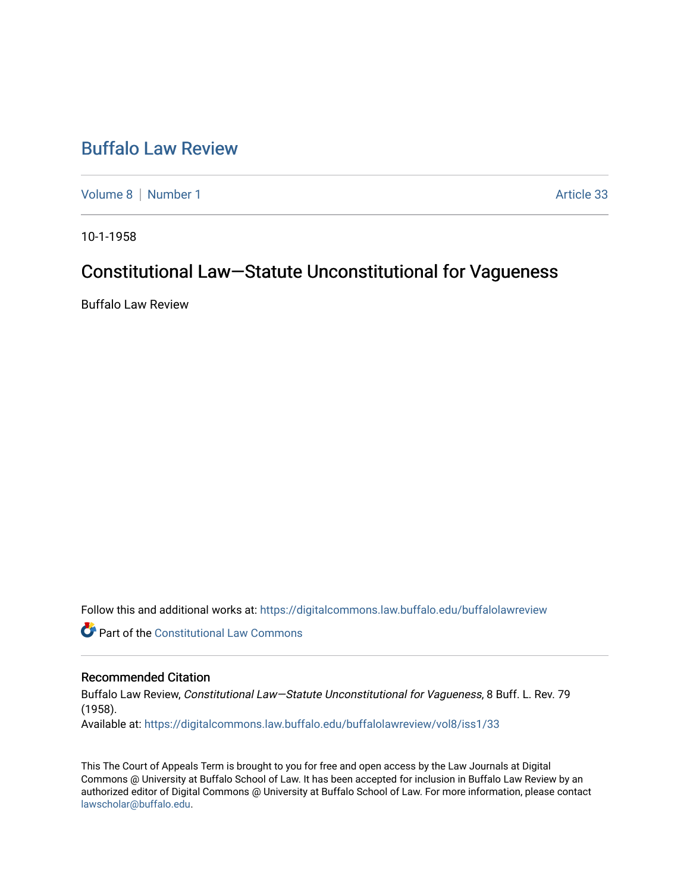# [Buffalo Law Review](https://digitalcommons.law.buffalo.edu/buffalolawreview)

[Volume 8](https://digitalcommons.law.buffalo.edu/buffalolawreview/vol8) | [Number 1](https://digitalcommons.law.buffalo.edu/buffalolawreview/vol8/iss1) Article 33

10-1-1958

## Constitutional Law—Statute Unconstitutional for Vagueness

Buffalo Law Review

Follow this and additional works at: [https://digitalcommons.law.buffalo.edu/buffalolawreview](https://digitalcommons.law.buffalo.edu/buffalolawreview?utm_source=digitalcommons.law.buffalo.edu%2Fbuffalolawreview%2Fvol8%2Fiss1%2F33&utm_medium=PDF&utm_campaign=PDFCoverPages) 

**Part of the Constitutional Law Commons** 

### Recommended Citation

Buffalo Law Review, Constitutional Law—Statute Unconstitutional for Vagueness, 8 Buff. L. Rev. 79 (1958). Available at: [https://digitalcommons.law.buffalo.edu/buffalolawreview/vol8/iss1/33](https://digitalcommons.law.buffalo.edu/buffalolawreview/vol8/iss1/33?utm_source=digitalcommons.law.buffalo.edu%2Fbuffalolawreview%2Fvol8%2Fiss1%2F33&utm_medium=PDF&utm_campaign=PDFCoverPages) 

This The Court of Appeals Term is brought to you for free and open access by the Law Journals at Digital Commons @ University at Buffalo School of Law. It has been accepted for inclusion in Buffalo Law Review by an authorized editor of Digital Commons @ University at Buffalo School of Law. For more information, please contact [lawscholar@buffalo.edu](mailto:lawscholar@buffalo.edu).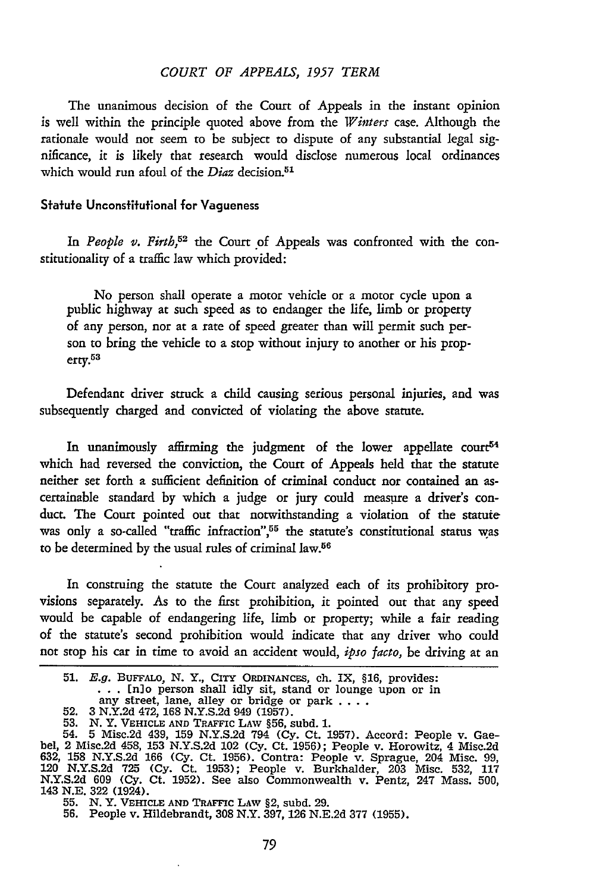#### *COURT OF APPEALS, 1957 TERM*

The unanimous decision of the Court of Appeals in the instant opinion is well within the principle quoted above from the *Winters* case. Although the rationale would not seem to be subject to dispute of any substantial legal significance, it is likely that research would disclose numerous local ordinances which would run afoul of the *Diaz* decision.<sup>51</sup>

#### Statute Unconstitutional for Vagueness

*In People* v. *Firth,52* the Court of Appeals was confronted with the constitutionality of a traffic law which provided:

No person shall operate a motor vehicle or a motor cycle upon a public highway at such speed as to endanger the life, limb or property of any person, nor at a rate of speed greater than will permit such person to bring the vehicle to a stop without injury to another or his property.<sup>53</sup>

Defendant driver struck a child causing serious personal injuries, and was subsequently charged and convicted of violating the above statute.

In unanimously affirming the judgment of the lower appellate court<sup>54</sup> which had reversed the conviction, the Court of Appeals held that the statute neither set forth a sufficient definition of criminal conduct nor contained an ascertainable standard by which a judge or jury could measure a driver's conduct. The Court pointed out that notwithstanding a violation of the statute was only a so-called "traffic infraction", $55$  the statute's constitutional status was to be determined by the usual rules of criminal law.<sup>56</sup>

In construing the statute the Court analyzed each of its prohibitory provisions separately. As to the first prohibition, it pointed out that any speed would be capable of endangering life, limb or property; while a fair reading of the statute's second prohibition would indicate that any driver who could not stop his car in time to avoid an accident would, *ipso facto,* be driving at an

**<sup>51.</sup>** E.g. **BUFFALO,** N. Y., **CITY ORDINANCES,** ch. IX, **§16,** provides: **. . .** [n]o person shall idly sit, stand or lounge upon or in

any street, lane, alley or bridge or park ...<br>
52. 3 N.Y.2d 472, 168 N.Y.S.2d 949 (1957).

<sup>53.</sup> N.Y. VEHICLE AND TRAFFIC LAW §56, subd. 1.<br>54. 5 Misc.2d 439, 159 N.Y.S.2d 794 (Cy. Ct. 1957). Accord: People v. Gae-<br>bel, 2 Misc.2d 458, 153 N.Y.S.2d 102 (Cy. Ct. 1956); People v. Horowitz, 4 Misc.2d **632, 158 N.Y.S.2d 166 (Cy.** Ct. **1956).** Contra: People v. Sprague, 204 Misc. **99,** 120 **N.Y.S.2d 725 (Cy.** Ct. **1953);** People v. Burkhalder, **203** Misc. **532, 117 N.Y.S.2d 609 (Cy.** Ct. **1952).** See also Commonwealth v. Pentz, 247 Mass. **500,** 143 **N.E. 322** (1924).

<sup>55.</sup> **N.** Y. **VEHICLE AND** TRAFFIC **LAW** §2, subd. **29. 56.** People v. Hildebrandt, **308** N.Y. **397, 126 N.E.2d 377 (1955).**